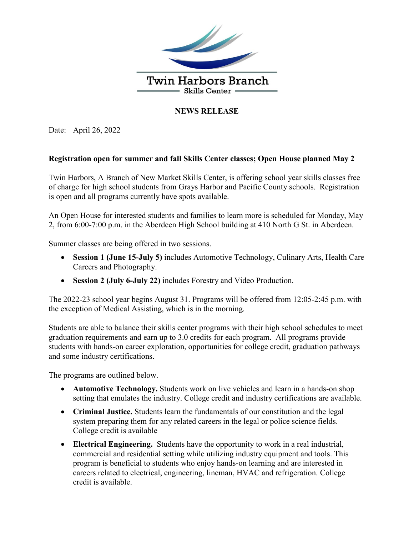

## **NEWS RELEASE**

Date: April 26, 2022

## **Registration open for summer and fall Skills Center classes; Open House planned May 2**

Twin Harbors, A Branch of New Market Skills Center, is offering school year skills classes free of charge for high school students from Grays Harbor and Pacific County schools. Registration is open and all programs currently have spots available.

An Open House for interested students and families to learn more is scheduled for Monday, May 2, from 6:00-7:00 p.m. in the Aberdeen High School building at 410 North G St. in Aberdeen.

Summer classes are being offered in two sessions.

- **Session 1 (June 15-July 5)** includes Automotive Technology, Culinary Arts, Health Care Careers and Photography.
- **Session 2 (July 6-July 22)** includes Forestry and Video Production.

The 2022-23 school year begins August 31. Programs will be offered from 12:05-2:45 p.m. with the exception of Medical Assisting, which is in the morning.

Students are able to balance their skills center programs with their high school schedules to meet graduation requirements and earn up to 3.0 credits for each program. All programs provide students with hands-on career exploration, opportunities for college credit, graduation pathways and some industry certifications.

The programs are outlined below.

- **Automotive Technology.** Students work on live vehicles and learn in a hands-on shop setting that emulates the industry. College credit and industry certifications are available.
- **Criminal Justice.** Students learn the fundamentals of our constitution and the legal system preparing them for any related careers in the legal or police science fields. College credit is available
- **Electrical Engineering.** Students have the opportunity to work in a real industrial, commercial and residential setting while utilizing industry equipment and tools. This program is beneficial to students who enjoy hands-on learning and are interested in careers related to electrical, engineering, lineman, HVAC and refrigeration. College credit is available.